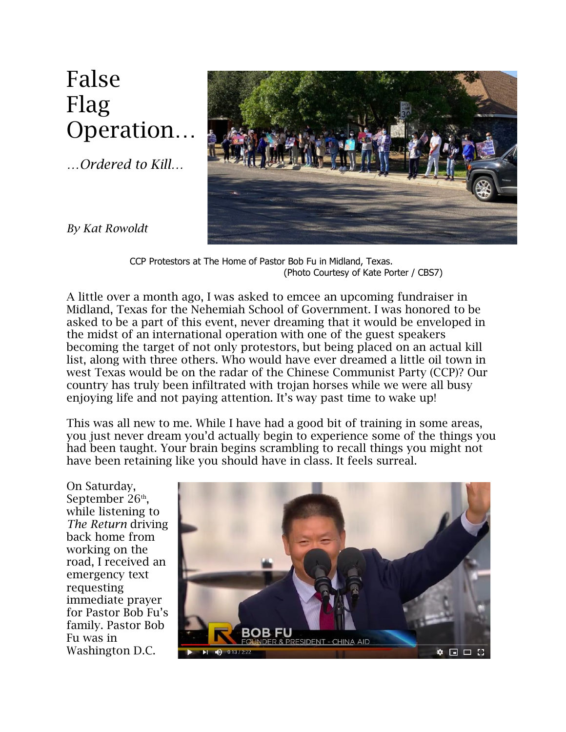## False Flag Operation…

*…Ordered to Kill…*



*By Kat Rowoldt*

CCP Protestors at The Home of Pastor Bob Fu in Midland, Texas. (Photo Courtesy of Kate Porter / CBS7)

A little over a month ago, I was asked to emcee an upcoming fundraiser in Midland, Texas for the Nehemiah School of Government. I was honored to be asked to be a part of this event, never dreaming that it would be enveloped in the midst of an international operation with one of the guest speakers becoming the target of not only protestors, but being placed on an actual kill list, along with three others. Who would have ever dreamed a little oil town in west Texas would be on the radar of the Chinese Communist Party (CCP)? Our country has truly been infiltrated with trojan horses while we were all busy enjoying life and not paying attention. It's way past time to wake up!

This was all new to me. While I have had a good bit of training in some areas, you just never dream you'd actually begin to experience some of the things you had been taught. Your brain begins scrambling to recall things you might not have been retaining like you should have in class. It feels surreal.

On Saturday, September 26<sup>th</sup>, while listening to *The Return* driving back home from working on the road, I received an emergency text requesting immediate prayer for Pastor Bob Fu's family. Pastor Bob Fu was in Washington D.C.

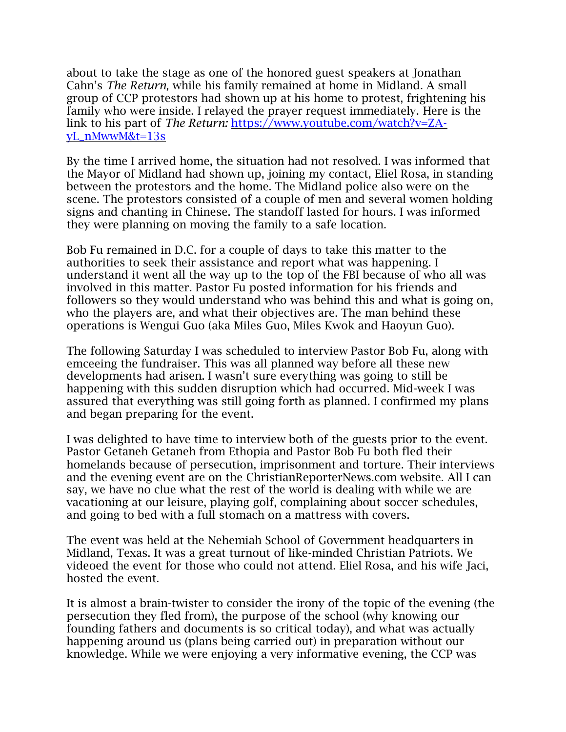about to take the stage as one of the honored guest speakers at Jonathan Cahn's *The Return,* while his family remained at home in Midland. A small group of CCP protestors had shown up at his home to protest, frightening his family who were inside. I relayed the prayer request immediately. Here is the link to his part of *The Return:* [https://www.youtube.com/watch?v=ZA](https://www.youtube.com/watch?v=ZA-yL_nMwwM&t=13s)[yL\\_nMwwM&t=13s](https://www.youtube.com/watch?v=ZA-yL_nMwwM&t=13s)

By the time I arrived home, the situation had not resolved. I was informed that the Mayor of Midland had shown up, joining my contact, Eliel Rosa, in standing between the protestors and the home. The Midland police also were on the scene. The protestors consisted of a couple of men and several women holding signs and chanting in Chinese. The standoff lasted for hours. I was informed they were planning on moving the family to a safe location.

Bob Fu remained in D.C. for a couple of days to take this matter to the authorities to seek their assistance and report what was happening. I understand it went all the way up to the top of the FBI because of who all was involved in this matter. Pastor Fu posted information for his friends and followers so they would understand who was behind this and what is going on, who the players are, and what their objectives are. The man behind these operations is Wengui Guo (aka Miles Guo, Miles Kwok and Haoyun Guo).

The following Saturday I was scheduled to interview Pastor Bob Fu, along with emceeing the fundraiser. This was all planned way before all these new developments had arisen. I wasn't sure everything was going to still be happening with this sudden disruption which had occurred. Mid-week I was assured that everything was still going forth as planned. I confirmed my plans and began preparing for the event.

I was delighted to have time to interview both of the guests prior to the event. Pastor Getaneh Getaneh from Ethopia and Pastor Bob Fu both fled their homelands because of persecution, imprisonment and torture. Their interviews and the evening event are on the ChristianReporterNews.com website. All I can say, we have no clue what the rest of the world is dealing with while we are vacationing at our leisure, playing golf, complaining about soccer schedules, and going to bed with a full stomach on a mattress with covers.

The event was held at the Nehemiah School of Government headquarters in Midland, Texas. It was a great turnout of like-minded Christian Patriots. We videoed the event for those who could not attend. Eliel Rosa, and his wife Jaci, hosted the event.

It is almost a brain-twister to consider the irony of the topic of the evening (the persecution they fled from), the purpose of the school (why knowing our founding fathers and documents is so critical today), and what was actually happening around us (plans being carried out) in preparation without our knowledge. While we were enjoying a very informative evening, the CCP was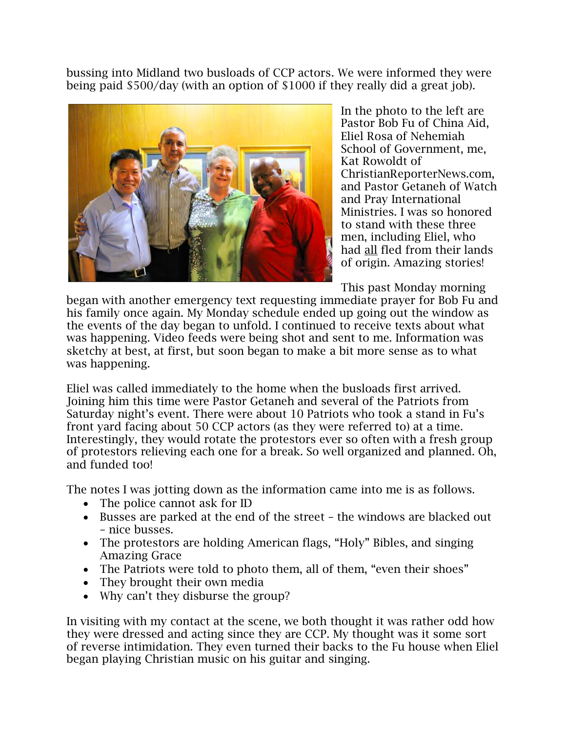bussing into Midland two busloads of CCP actors. We were informed they were being paid \$500/day (with an option of \$1000 if they really did a great job).



In the photo to the left are Pastor Bob Fu of China Aid, Eliel Rosa of Nehemiah School of Government, me, Kat Rowoldt of ChristianReporterNews.com, and Pastor Getaneh of Watch and Pray International Ministries. I was so honored to stand with these three men, including Eliel, who had all fled from their lands of origin. Amazing stories!

This past Monday morning

began with another emergency text requesting immediate prayer for Bob Fu and his family once again. My Monday schedule ended up going out the window as the events of the day began to unfold. I continued to receive texts about what was happening. Video feeds were being shot and sent to me. Information was sketchy at best, at first, but soon began to make a bit more sense as to what was happening.

Eliel was called immediately to the home when the busloads first arrived. Joining him this time were Pastor Getaneh and several of the Patriots from Saturday night's event. There were about 10 Patriots who took a stand in Fu's front yard facing about 50 CCP actors (as they were referred to) at a time. Interestingly, they would rotate the protestors ever so often with a fresh group of protestors relieving each one for a break. So well organized and planned. Oh, and funded too!

The notes I was jotting down as the information came into me is as follows.

- The police cannot ask for ID
- Busses are parked at the end of the street the windows are blacked out – nice busses.
- The protestors are holding American flags, "Holy" Bibles, and singing Amazing Grace
- The Patriots were told to photo them, all of them, "even their shoes"
- They brought their own media
- Why can't they disburse the group?

In visiting with my contact at the scene, we both thought it was rather odd how they were dressed and acting since they are CCP. My thought was it some sort of reverse intimidation. They even turned their backs to the Fu house when Eliel began playing Christian music on his guitar and singing.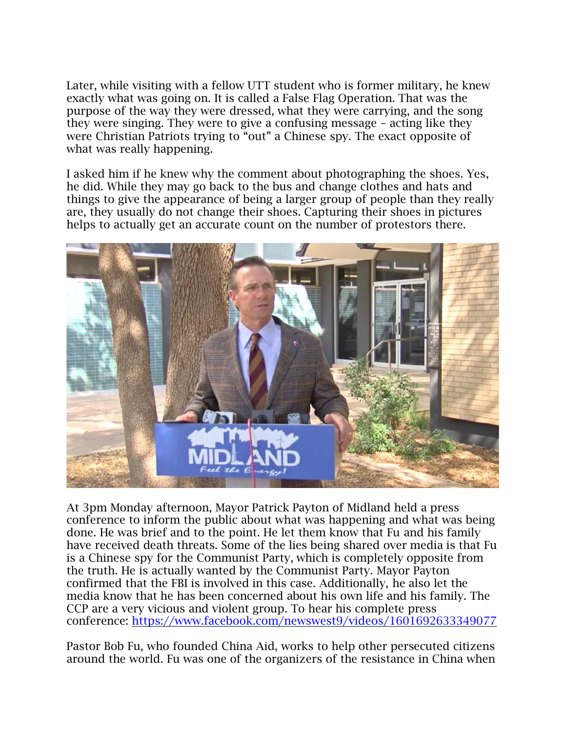Later, while visiting with a fellow UTT student who is former military, he knew exactly what was going on. It is called a False Flag Operation. That was the purpose of the way they were dressed, what they were carrying, and the song they were singing. They were to give a confusing message – acting like they were Christian Patriots trying to "out" a Chinese spy. The exact opposite of what was really happening.

I asked him if he knew why the comment about photographing the shoes. Yes, he did. While they may go back to the bus and change clothes and hats and things to give the appearance of being a larger group of people than they really are, they usually do not change their shoes. Capturing their shoes in pictures helps to actually get an accurate count on the number of protestors there.



At 3pm Monday afternoon, Mayor Patrick Payton of Midland held a press conference to inform the public about what was happening and what was being done. He was brief and to the point. He let them know that Fu and his family have received death threats. Some of the lies being shared over media is that Fu is a Chinese spy for the Communist Party, which is completely opposite from the truth. He is actually wanted by the Communist Party. Mayor Payton confirmed that the FBI is involved in this case. Additionally, he also let the media know that he has been concerned about his own life and his family. The CCP are a very vicious and violent group. To hear his complete press conference:<https://www.facebook.com/newswest9/videos/1601692633349077>

Pastor Bob Fu, who founded China Aid, works to help other persecuted citizens around the world. Fu was one of the organizers of the resistance in China when